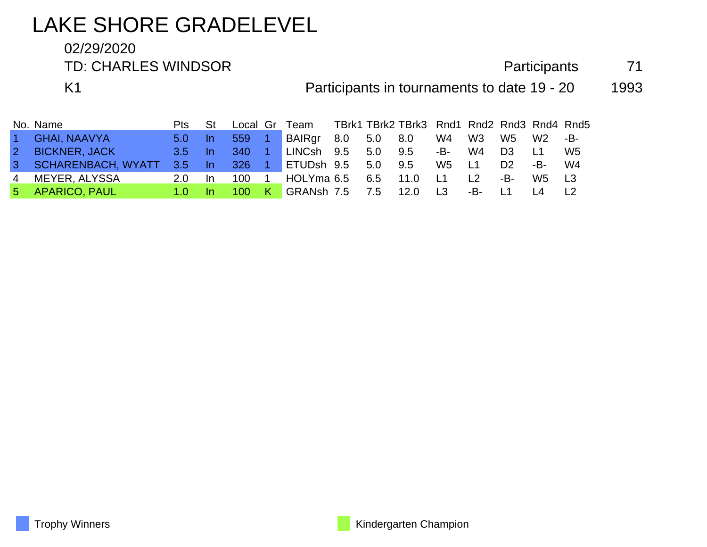# LAKE SHORE GRADELEVEL

#### 02/29/2020

TD: CHARLES WINDSOR **Participants** 71

K1 **Participants in tournaments to date 19 - 20** 1993

|                | No. Name             | Pts     | St        |            |     | Local Gr Team      |             | TBrk1 TBrk2 TBrk3 Rnd1 Rnd2 Rnd3 Rnd4 Rnd5 |                |     |                |                |     |
|----------------|----------------------|---------|-----------|------------|-----|--------------------|-------------|--------------------------------------------|----------------|-----|----------------|----------------|-----|
| $\vert$ 1      | <b>GHAI, NAAVYA</b>  | $5.0 -$ | In.       | 559        |     | BAIRgr             | 8.0 5.0 8.0 |                                            | W4             | W3  | W5             | W <sub>2</sub> | -B- |
| 2 <sup>2</sup> | <b>BICKNER, JACK</b> | $3.5 -$ | -In       | <b>340</b> |     | LINCsh 9.5 5.0     |             | 9.5                                        | -B-l           | W4  | D <sub>3</sub> |                | W5  |
|                | 3 SCHARENBACH, WYATT | 3.5     | -In       | 326        |     | ETUDsh 9.5 5.0     |             | 9.5                                        | W5             | L1  | D <sub>2</sub> | -B-            | W4  |
| 4              | MEYER, ALYSSA        | 2.0     | <u>In</u> | 100        |     | HOLYma $6.5$ $6.5$ |             | 11.0                                       | L1             |     | -B-            | W5.            |     |
|                | 5 APARICO, PAUL      |         |           | 100        | - K | GRANsh 7.5 7.5     |             | 12.0                                       | L <sub>3</sub> | -B- |                |                |     |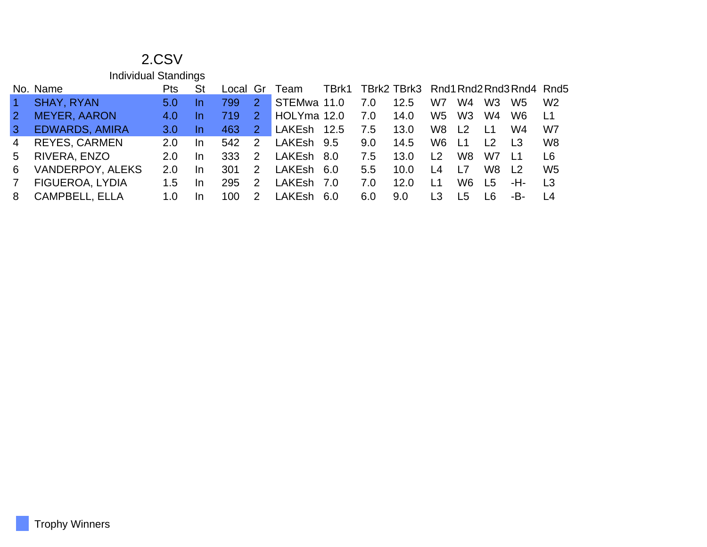|                | <b>Individual Standings</b> |     |     |          |               |             |       |     |                                      |                |                |                |                |                |
|----------------|-----------------------------|-----|-----|----------|---------------|-------------|-------|-----|--------------------------------------|----------------|----------------|----------------|----------------|----------------|
|                | No. Name                    | Pts | St  | Local Gr |               | Team        | TBrk1 |     | TBrk2 TBrk3 Rnd1 Rnd2 Rnd3 Rnd4 Rnd5 |                |                |                |                |                |
| $\overline{1}$ | <b>SHAY, RYAN</b>           | 5.0 | In  | 799      | $2^{\circ}$   | STEMwa 11.0 |       | 7.0 | 12.5                                 | W7             | W4             | W <sub>3</sub> | W5             | W <sub>2</sub> |
| $\overline{2}$ | <b>MEYER, AARON</b>         | 4.0 | In  | 719      | $\mathcal{P}$ | HOLYma 12.0 |       | 7.0 | 14.0                                 | W <sub>5</sub> | W <sub>3</sub> | W <sub>4</sub> | W <sub>6</sub> | L1             |
| $\mathbf{3}$   | <b>EDWARDS, AMIRA</b>       | 3.0 | In  | 463      | $\mathcal{P}$ | LAKEsh      | 12.5  | 7.5 | 13.0                                 | W8             | L <sub>2</sub> | L1             | W4             | W7             |
| 4              | <b>REYES, CARMEN</b>        | 2.0 | In. | 542      | $\mathcal{P}$ | LAKEsh 9.5  |       | 9.0 | 14.5                                 | W <sub>6</sub> | L1             | L <sub>2</sub> | L <sub>3</sub> | W <sub>8</sub> |
| 5              | RIVERA, ENZO                | 2.0 | In. | 333      | $\mathcal{P}$ | LAKEsh 8.0  |       | 7.5 | 13.0                                 | l 2            | W8             | W7             |                | L6             |
| 6              | VANDERPOY, ALEKS            | 2.0 | In. | 301      | $\mathcal{P}$ | LAKEsh 6.0  |       | 5.5 | 10.0                                 | l 4            | L7             | W8             | L <sub>2</sub> | W <sub>5</sub> |
| $\overline{7}$ | FIGUEROA, LYDIA             | 1.5 | In. | 295      | $\mathcal{P}$ | LAKEsh      | . 7.0 | 7.0 | 12.0                                 | $\mathsf{L}1$  | W6             | L5             | -H-            | L <sub>3</sub> |
| 8              | <b>CAMPBELL, ELLA</b>       | 1.0 | In  | 100      |               | I AKFshi    | -6.0  | 6.0 | 9.0                                  | LЗ             | I 5            | I 6            | -B-            | L <sub>4</sub> |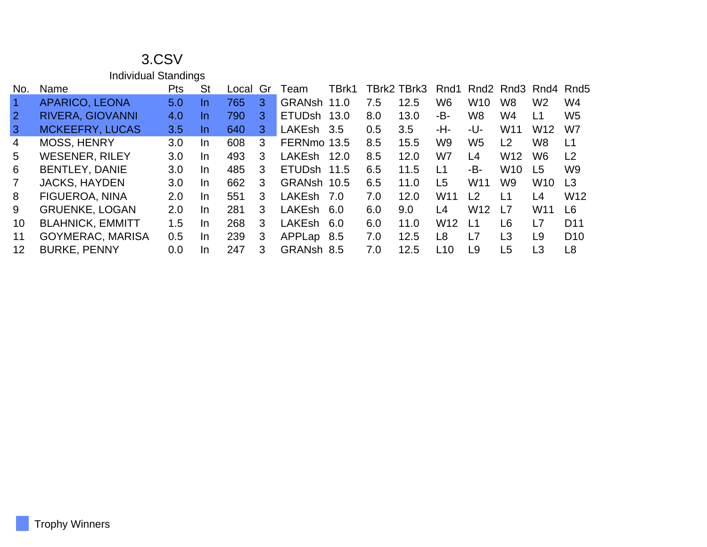|                   | <b>Individual Standings</b> |     |     |       |    |               |       |     |             |                  |                 |                 |                     |                 |
|-------------------|-----------------------------|-----|-----|-------|----|---------------|-------|-----|-------------|------------------|-----------------|-----------------|---------------------|-----------------|
| No.               | Name                        | Pts | St  | Local | Gr | Team.         | TBrk1 |     | TBrk2 TBrk3 | Rnd1             |                 |                 | Rnd2 Rnd3 Rnd4 Rnd5 |                 |
| $\mathbf{1}$      | <b>APARICO, LEONA</b>       | 5.0 | In. | 765   | 3  | GRANsh 11.0   |       | 7.5 | 12.5        | W6               | W <sub>10</sub> | W8              | W <sub>2</sub>      | W4              |
| $\overline{2}$    | <b>RIVERA, GIOVANNI</b>     | 4.0 | In. | 790   | 3  | ETUDsh 13.0   |       | 8.0 | 13.0        | -B-              | W <sub>8</sub>  | W4              | L1                  | W <sub>5</sub>  |
| $\mathbf{3}$      | <b>MCKEEFRY, LUCAS</b>      | 3.5 | In. | 640   | 3  | LAKEsh 3.5    |       | 0.5 | 3.5         | -H-              | -U-             | W11             | W <sub>12</sub>     | W7              |
| 4                 | <b>MOSS, HENRY</b>          | 3.0 | In. | 608   | 3  | FERNmo 13.5   |       | 8.5 | 15.5        | W9               | W <sub>5</sub>  | L2              | W <sub>8</sub>      | L1              |
| 5                 | <b>WESENER, RILEY</b>       | 3.0 | In. | 493   | 3  | LAKEsh        | 12.0  | 8.5 | 12.0        | W7               | L4              | W <sub>12</sub> | W6                  | L2              |
| 6                 | <b>BENTLEY, DANIE</b>       | 3.0 | In. | 485   | 3  | ETUDsh 11.5   |       | 6.5 | 11.5        | $\overline{1}$ 1 | -B-             | W <sub>10</sub> | L <sub>5</sub>      | W <sub>9</sub>  |
| $\overline{7}$    | <b>JACKS, HAYDEN</b>        | 3.0 | In. | 662   | 3  | GRANsh 10.5   |       | 6.5 | 11.0        | L <sub>5</sub>   | W <sub>11</sub> | W9              | W <sub>10</sub>     | L <sub>3</sub>  |
| 8                 | <b>FIGUEROA, NINA</b>       | 2.0 | In. | 551   | 3  | <b>LAKEsh</b> | . 7.0 | 7.0 | 12.0        | W <sub>11</sub>  | L <sub>2</sub>  | L1              | L4                  | W <sub>12</sub> |
| 9                 | <b>GRUENKE, LOGAN</b>       | 2.0 | In. | 281   | 3  | <b>LAKEsh</b> | 6.0   | 6.0 | 9.0         | L4               | W <sub>12</sub> | L7              | W <sub>11</sub>     | L6              |
| 10                | <b>BLAHNICK, EMMITT</b>     | 1.5 | In. | 268   | 3  | <b>LAKEsh</b> | -6.0  | 6.0 | 11.0        | W <sub>12</sub>  | L1              | L <sub>6</sub>  | L7                  | D <sub>11</sub> |
| 11                | <b>GOYMERAC, MARISA</b>     | 0.5 | In. | 239   | 3  | APPLap        | 8.5   | 7.0 | 12.5        | L <sub>8</sub>   | L7              | L <sub>3</sub>  | L <sub>9</sub>      | D <sub>10</sub> |
| $12 \overline{ }$ | <b>BURKE, PENNY</b>         | 0.0 | In. | 247   | 3  | GRANsh 8.5    |       | 7.0 | 12.5        | L10              | L <sub>9</sub>  | L <sub>5</sub>  | L3                  | L8              |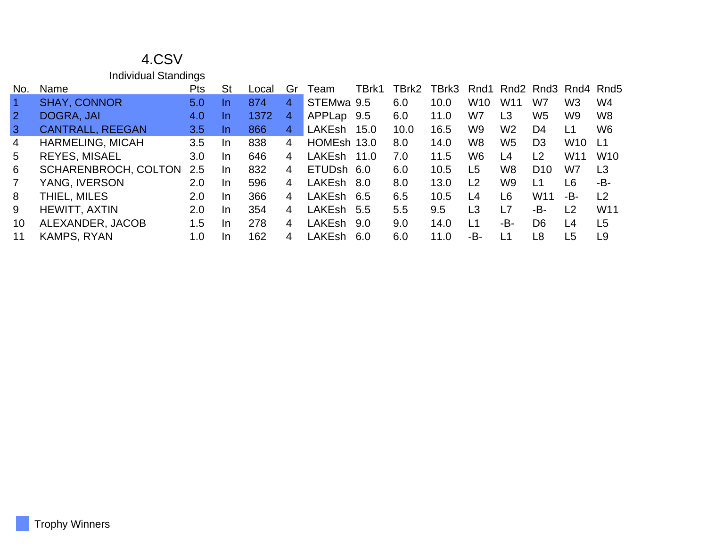|  | <b>Individual Standings</b> |
|--|-----------------------------|
|--|-----------------------------|

| No.            | Name                        | Pts | <b>St</b> | _ocal | Gr             | Team          | FBrk1 | TBrk2 | TBrk3 | Rnd1            |                 |                 | Rnd <sub>2</sub> Rnd <sub>3</sub> Rnd <sub>4</sub> Rnd <sub>5</sub> |                 |
|----------------|-----------------------------|-----|-----------|-------|----------------|---------------|-------|-------|-------|-----------------|-----------------|-----------------|---------------------------------------------------------------------|-----------------|
|                | <b>SHAY, CONNOR</b>         | 5.0 | <u>In</u> | 874   | 4              | STEMwa 9.5    |       | 6.0   | 10.0  | W <sub>10</sub> | W <sub>11</sub> | W7              | W <sub>3</sub>                                                      | W4              |
| $\overline{2}$ | DOGRA, JAI                  | 4.0 | <u>In</u> | 1372  | 4              | APPLap        | 9.5   | 6.0   | 11.0  | W7              | L3              | W5              | W9                                                                  | W <sub>8</sub>  |
| $\mathbf{3}$   | <b>CANTRALL, REEGAN</b>     | 3.5 | In.       | 866   | 4              | <b>LAKEsh</b> | 15.0  | 10.0  | 16.5  | W <sub>9</sub>  | W <sub>2</sub>  | D4              | L1                                                                  | W <sub>6</sub>  |
| $\overline{4}$ | <b>HARMELING, MICAH</b>     | 3.5 | In        | 838   | $\overline{4}$ | HOMEsh 13.0   |       | 8.0   | 14.0  | W8              | W <sub>5</sub>  | D <sub>3</sub>  | W <sub>10</sub>                                                     | -L1             |
| 5              | <b>REYES, MISAEL</b>        | 3.0 | In.       | 646   | 4              | LAKEsh        | 11.0  | 7.0   | 11.5  | W6              | L4              | L <sub>2</sub>  | W <sub>11</sub>                                                     | W <sub>10</sub> |
| 6              | <b>SCHARENBROCH, COLTON</b> | 2.5 | <b>In</b> | 832   | 4              | ETUDsh 6.0    |       | 6.0   | 10.5  | L <sub>5</sub>  | W8              | D <sub>10</sub> | W7                                                                  | L <sub>3</sub>  |
| $\mathbf{7}$   | YANG, IVERSON               | 2.0 | In.       | 596   | 4              | <b>LAKEsh</b> | 8.0   | 8.0   | 13.0  | $\overline{2}$  | W <sub>9</sub>  | L <sub>1</sub>  | L6                                                                  | -B-             |
| 8              | THIEL, MILES                | 2.0 | In.       | 366   | 4              | <b>LAKEsh</b> | 6.5   | 6.5   | 10.5  | L4              | L6              | W <sub>11</sub> | -B-                                                                 | L <sub>2</sub>  |
| 9              | <b>HEWITT, AXTIN</b>        | 2.0 | In.       | 354   | 4              | LAKEsh        | 5.5   | 5.5   | 9.5   | L3              | L7              | -B-             | L <sub>2</sub>                                                      | W11             |
| 10             | ALEXANDER, JACOB            | 1.5 | In.       | 278   | 4              | <b>LAKEsh</b> | 9.0   | 9.0   | 14.0  | L1              | -B-             | D <sub>6</sub>  | L4                                                                  | L <sub>5</sub>  |
|                | <b>KAMPS, RYAN</b>          | 1.0 | In.       | 162   | 4              | LAKEsh        | 6.0   | 6.0   | 11.0  | -В-             | L1              | L8              | L5                                                                  | L9              |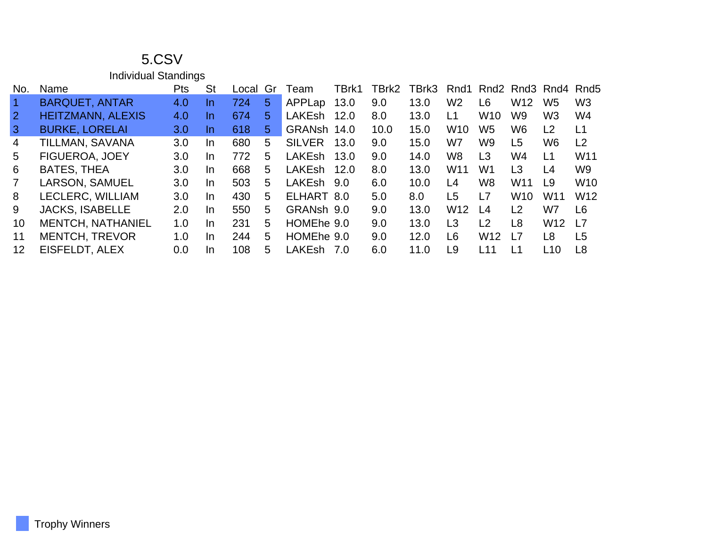|                | <b>Individual Standings</b> |            |           |       |    |               |       |       |       |                 |                 |                 |                                                                     |                |
|----------------|-----------------------------|------------|-----------|-------|----|---------------|-------|-------|-------|-----------------|-----------------|-----------------|---------------------------------------------------------------------|----------------|
| No.            | Name                        | <b>Pts</b> | <b>St</b> | _ocal | Gr | Team          | TBrk1 | TBrk2 | TBrk3 | Rnd1            |                 |                 | Rnd <sub>2</sub> Rnd <sub>3</sub> Rnd <sub>4</sub> Rnd <sub>5</sub> |                |
| $\mathbf{1}$   | <b>BARQUET, ANTAR</b>       | 4.0        | In.       | 724   | 5  | APPLap        | 13.0  | 9.0   | 13.0  | W <sub>2</sub>  | L <sub>6</sub>  | W <sub>12</sub> | W <sub>5</sub>                                                      | W <sub>3</sub> |
| <sup>2</sup>   | <b>HEITZMANN, ALEXIS</b>    | 4.0        | In.       | 674   | 5  | <b>LAKEsh</b> | 12.0  | 8.0   | 13.0  | L1              | W <sub>10</sub> | W <sub>9</sub>  | W <sub>3</sub>                                                      | W4             |
| 3              | <b>BURKE, LORELAI</b>       | 3.0        | In.       | 618   | 5  | GRANsh        | 14.0  | 10.0  | 15.0  | W <sub>10</sub> | W <sub>5</sub>  | W6              | L2                                                                  | L1             |
| 4              | TILLMAN, SAVANA             | 3.0        | In.       | 680   | 5  | <b>SILVER</b> | 13.0  | 9.0   | 15.0  | W7              | W9              | L <sub>5</sub>  | W <sub>6</sub>                                                      | L <sub>2</sub> |
| 5              | FIGUEROA, JOEY              | 3.0        | In.       | 772   | 5  | <b>LAKEsh</b> | 13.0  | 9.0   | 14.0  | W <sub>8</sub>  | L <sub>3</sub>  | W4              | L1                                                                  | W11            |
| 6              | <b>BATES, THEA</b>          | 3.0        | In.       | 668   | 5  | <b>LAKEsh</b> | 12.0  | 8.0   | 13.0  | W <sub>11</sub> | W1              | L3              | L <sub>4</sub>                                                      | W9             |
| $\overline{7}$ | LARSON, SAMUEL              | 3.0        | In.       | 503   | 5. | LAKEsh 9.0    |       | 6.0   | 10.0  | L4              | W8              | W <sub>11</sub> | L9                                                                  | <b>W10</b>     |
| 8              | LECLERC, WILLIAM            | 3.0        | In.       | 430   | 5  | ELHART 8.0    |       | 5.0   | 8.0   | L <sub>5</sub>  | L7              | W <sub>10</sub> | W11                                                                 | W12            |
| 9              | <b>JACKS, ISABELLE</b>      | 2.0        | In.       | 550   | 5  | GRANsh 9.0    |       | 9.0   | 13.0  | W <sub>12</sub> | L4              | L2              | W7                                                                  | L6             |
| 10             | <b>MENTCH, NATHANIEL</b>    | 1.0        | In.       | 231   | 5  | HOMEhe 9.0    |       | 9.0   | 13.0  | L3              | L <sub>2</sub>  | L8              | W <sub>12</sub>                                                     | L7             |
| 11             | <b>MENTCH, TREVOR</b>       | 1.0        | In.       | 244   | 5  | HOMEhe 9.0    |       | 9.0   | 12.0  | L <sub>6</sub>  | W <sub>12</sub> | L7              | L <sub>8</sub>                                                      | L5             |
| 12             | EISFELDT, ALEX              | 0.0        | In.       | 108   | 5  | <b>LAKEsh</b> | 7.0   | 6.0   | 11.0  | L9              | L11             | L1              | L10                                                                 | L8             |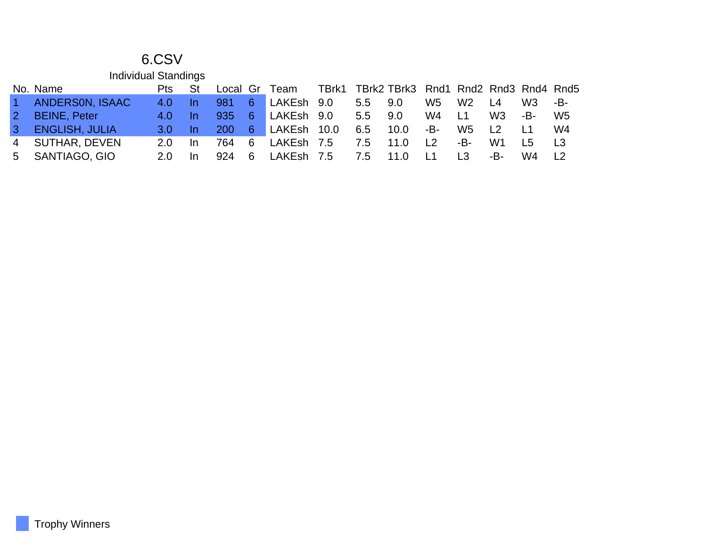|    | <b>Individual Standings</b> |      |           |            |    |             |     |                                            |                |                |                |     |     |
|----|-----------------------------|------|-----------|------------|----|-------------|-----|--------------------------------------------|----------------|----------------|----------------|-----|-----|
|    | No. Name                    | Pts. | St        | Local Gr   |    | Team        |     | TBrk1 TBrk2 TBrk3 Rnd1 Rnd2 Rnd3 Rnd4 Rnd5 |                |                |                |     |     |
|    | ANDERSON, ISAAC             | 4.0  | -In       | 981        | 6  | LAKEsh 9.0  | 5.5 | 9.0                                        | W5             | W <sub>2</sub> | L <sub>4</sub> | W3  | -B- |
|    | <b>BEINE, Peter</b>         | 4.0  | <u>In</u> | 935        | -6 | LAKEsh 9.0  | 5.5 | 9.0                                        | W4             | <u> 1</u>      | W <sub>3</sub> | -B- | W5  |
|    | <b>ENGLISH, JULIA</b>       | 3.0  |           | <b>200</b> | 6  | LAKEsh 10.0 | 6.5 | 10.0                                       | -В-            | W5             | $\overline{2}$ |     | W4  |
| 4  | SUTHAR, DEVEN               | 2.0. | -In       | 764.       | -6 | LAKEsh 7.5  | 7.5 | 11.0                                       | $\overline{2}$ | -B-            | W1             | I 5 |     |
| 5. | SANTIAGO, GIO               | 2.0. |           | 924        | -6 | LAKEsh 7.5  | 7.5 | 11.0                                       |                | I 3            | -B-            | W4  |     |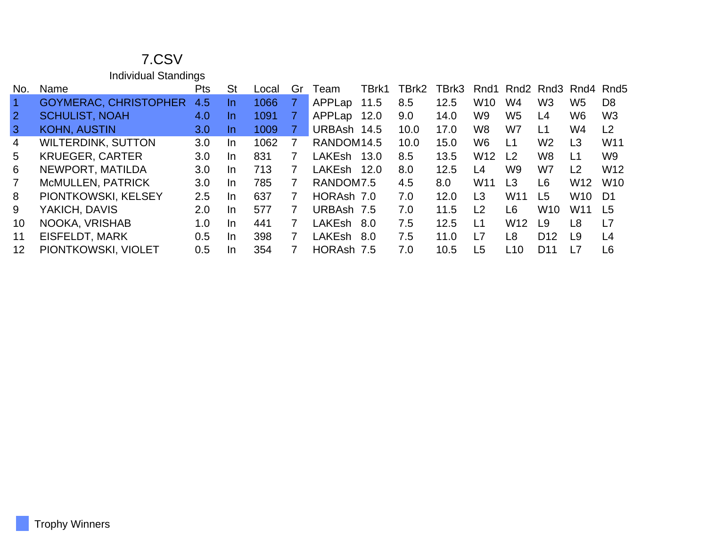Individual Standings

| No.            | Name                         | <b>Pts</b>       | <b>St</b> | Local | Gr | Team          | TBrk1 | TBrk2 | TBrk3 | Rnd1            |                 |                 | Rnd <sub>2</sub> Rnd <sub>3</sub> Rnd <sub>4</sub> Rnd <sub>5</sub> |                 |
|----------------|------------------------------|------------------|-----------|-------|----|---------------|-------|-------|-------|-----------------|-----------------|-----------------|---------------------------------------------------------------------|-----------------|
|                | <b>GOYMERAC, CHRISTOPHER</b> | 4.5              | In.       | 1066  | 7  | APPLap        | 11.5  | 8.5   | 12.5  | W <sub>10</sub> | W4              | W <sub>3</sub>  | W <sub>5</sub>                                                      | D <sub>8</sub>  |
| $\overline{2}$ | <b>SCHULIST, NOAH</b>        | 4.0              | In.       | 1091  |    | APPLap        | 12.0  | 9.0   | 14.0  | W9              | W5              | L4              | W <sub>6</sub>                                                      | W <sub>3</sub>  |
| 3              | <b>KOHN, AUSTIN</b>          | 3.0 <sub>2</sub> | In.       | 1009  |    | URBAsh 14.5   |       | 10.0  | 17.0  | W8              | W7              | L1              | W4                                                                  | L <sub>2</sub>  |
| $\overline{4}$ | <b>WILTERDINK, SUTTON</b>    | 3.0              | In.       | 1062  | 7  | RANDOM14.5    |       | 10.0  | 15.0  | W6              | L1              | W <sub>2</sub>  | L <sub>3</sub>                                                      | W <sub>11</sub> |
| 5              | <b>KRUEGER, CARTER</b>       | 3.0              | In.       | 831   | 7  | <b>LAKEsh</b> | 13.0  | 8.5   | 13.5  | W <sub>12</sub> | L <sub>2</sub>  | W <sub>8</sub>  | L1                                                                  | W <sub>9</sub>  |
| 6              | NEWPORT, MATILDA             | 3.0              | In.       | 713   | 7  | LAKEsh        | 12.0  | 8.0   | 12.5  | L4              | W9              | W7              | L <sub>2</sub>                                                      | W <sub>12</sub> |
| 7              | McMULLEN, PATRICK            | 3.0              | <b>In</b> | 785   | 7  | RANDOM7.5     |       | 4.5   | 8.0   | W <sub>11</sub> | L3              | L6              | W <sub>12</sub>                                                     | <b>W10</b>      |
| 8              | PIONTKOWSKI, KELSEY          | 2.5              | In.       | 637   | 7  | HORAsh 7.0    |       | 7.0   | 12.0  | L3              | W <sub>11</sub> | L5              | W10                                                                 | D1              |
| 9              | YAKICH, DAVIS                | 2.0              | <b>In</b> | 577   | 7  | URBAsh 7.5    |       | 7.0   | 11.5  | L <sub>2</sub>  | L6              | W <sub>10</sub> | W <sub>11</sub>                                                     | L <sub>5</sub>  |
| 10             | NOOKA, VRISHAB               | 1.0              | In.       | 441   | 7  | LAKEsh        | .8.O  | 7.5   | 12.5  | L1              | W <sub>12</sub> | L9              | L <sub>8</sub>                                                      | L7              |
| 11             | EISFELDT, MARK               | 0.5              | In.       | 398   | 7  | LAKEsh        | .8.O  | 7.5   | 11.0  | L7              | L8              | D12             | L9                                                                  | L4              |
| 12             | PIONTKOWSKI, VIOLET          | 0.5              | <b>In</b> | 354   |    | HORAsh 7.5    |       | 7.0   | 10.5  | L5              | L10             | D11             | l 7                                                                 | L6              |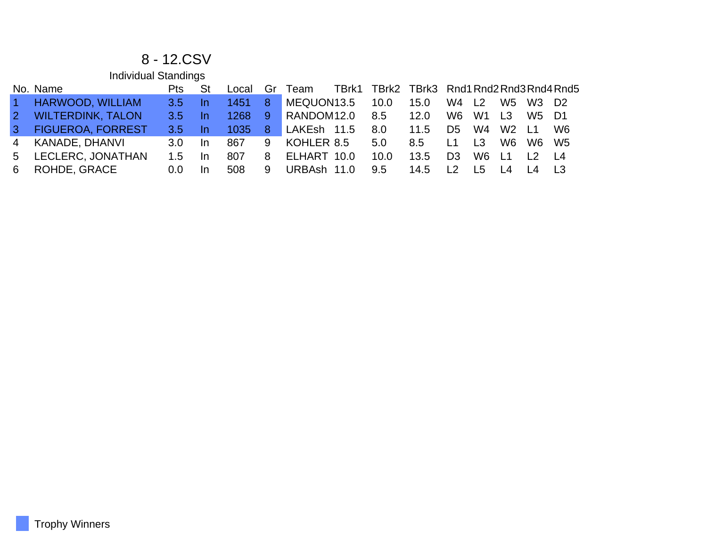#### 8 - 12.CSV

|                 | <b>Individual Standings</b> |                  |           |       |              |             |                                            |      |                  |                |                 |                  |                |
|-----------------|-----------------------------|------------------|-----------|-------|--------------|-------------|--------------------------------------------|------|------------------|----------------|-----------------|------------------|----------------|
|                 | No. Name                    | <b>Pts</b>       | St        | Local | Gr           | Team        | TBrk1 TBrk2 TBrk3 Rnd1 Rnd2 Rnd3 Rnd4 Rnd5 |      |                  |                |                 |                  |                |
| $\vert$ 1       | <b>HARWOOD, WILLIAM</b>     | 3.5              | In.       | 1451  | 8            | MEQUON13.5  | 10.0                                       | 15.0 | W4               | L <sub>2</sub> | W <sub>5</sub>  | W3               | D <sub>2</sub> |
| $\mathcal{P}$   | <b>WILTERDINK, TALON</b>    | 3.5 <sub>1</sub> | In.       | 1268  | -9.          | RANDOM12.0  | 8.5                                        | 12.0 | W6               | W <sub>1</sub> | $\overline{1}$  | W5               | - D1           |
| $\vert 3 \vert$ | <b>FIGUEROA, FORREST</b>    | 3.5 <sub>1</sub> | -In       | 1035  | $\mathbf{8}$ | LAKEsh 11.5 | 8.0                                        | 11.5 | D5.              | W4             | W2              | $\overline{1}$ 1 | W6             |
| 4               | KANADE, DHANVI              | 3.0 <sub>2</sub> | -In       | 867   | 9            | KOHLER 8.5  | 5.0                                        | 8.5  | $\overline{1}$ 1 | L <sub>3</sub> | W <sub>6</sub>  | W6.              | - W5           |
| 5.              | LECLERC, JONATHAN           | 1.5              | <b>In</b> | 807   | 8            | ELHART 10.0 | 10.0                                       | 13.5 | D <sub>3</sub>   | W6             | $\overline{11}$ | $\overline{2}$   | $\mathsf{L}4$  |
| 6.              | ROHDE, GRACE                | $0.0^{\circ}$    | In        | 508   | 9            | URBAsh 11.0 | 9.5                                        | 14.5 | l 2              | I 5            | $\overline{14}$ | $\overline{14}$  |                |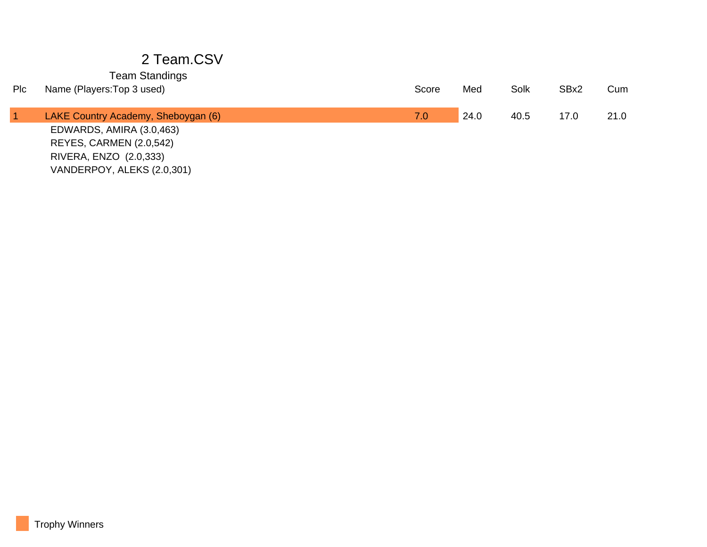| Plc | Name (Players: Top 3 used)                                                                                  | Score | Med  | Solk | SBx2 | Cum  |
|-----|-------------------------------------------------------------------------------------------------------------|-------|------|------|------|------|
|     | LAKE Country Academy, Sheboygan (6)                                                                         | 7.0   | 24.0 | 40.5 | 17.0 | 21.0 |
|     | EDWARDS, AMIRA (3.0,463)<br>REYES, CARMEN (2.0,542)<br>RIVERA, ENZO (2.0,333)<br>VANDERPOY, ALEKS (2.0,301) |       |      |      |      |      |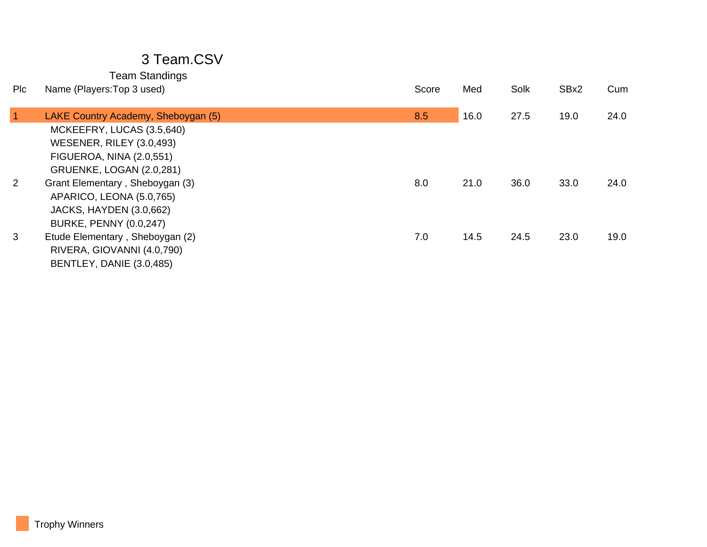| Name (Players: Top 3 used)          | Score | Med  | Solk | SBx2 | Cum  |
|-------------------------------------|-------|------|------|------|------|
| LAKE Country Academy, Sheboygan (5) | 8.5   | 16.0 | 27.5 | 19.0 | 24.0 |
| MCKEEFRY, LUCAS (3.5,640)           |       |      |      |      |      |
| <b>WESENER, RILEY (3.0,493)</b>     |       |      |      |      |      |
| <b>FIGUEROA, NINA (2.0,551)</b>     |       |      |      |      |      |
| GRUENKE, LOGAN (2.0,281)            |       |      |      |      |      |
| Grant Elementary, Sheboygan (3)     | 8.0   | 21.0 | 36.0 | 33.0 | 24.0 |
| APARICO, LEONA (5.0,765)            |       |      |      |      |      |
| <b>JACKS, HAYDEN (3.0,662)</b>      |       |      |      |      |      |
| <b>BURKE, PENNY (0.0,247)</b>       |       |      |      |      |      |
| Etude Elementary, Sheboygan (2)     | 7.0   | 14.5 | 24.5 | 23.0 | 19.0 |
| RIVERA, GIOVANNI (4.0,790)          |       |      |      |      |      |
| BENTLEY, DANIE (3.0,485)            |       |      |      |      |      |
|                                     |       |      |      |      |      |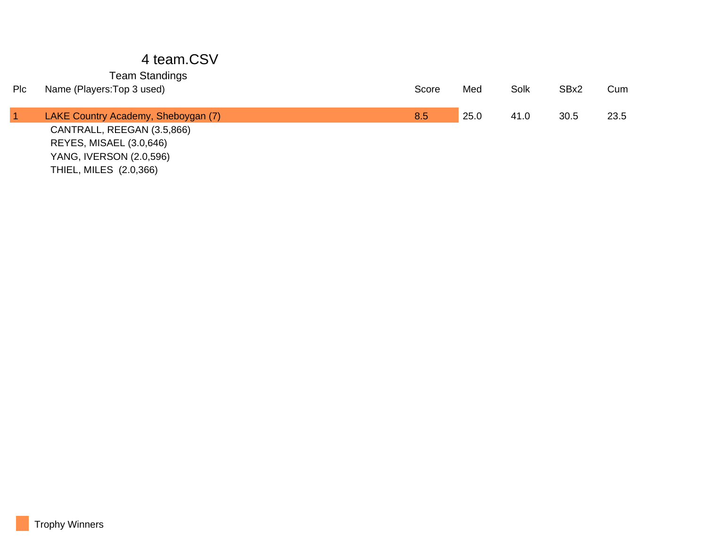#### 4 team.CSV

#### Team Standings

| Plc | Name (Players: Top 3 used)          | Score | Med  | Solk | SBx2 | Cum  |
|-----|-------------------------------------|-------|------|------|------|------|
|     |                                     |       |      |      |      |      |
|     | LAKE Country Academy, Sheboygan (7) | 8.5   | 25.0 | 41.0 | 30.5 | 23.5 |
|     | CANTRALL, REEGAN (3.5,866)          |       |      |      |      |      |
|     | <b>REYES, MISAEL (3.0,646)</b>      |       |      |      |      |      |
|     | YANG, IVERSON (2.0,596)             |       |      |      |      |      |

THIEL, MILES (2.0,366)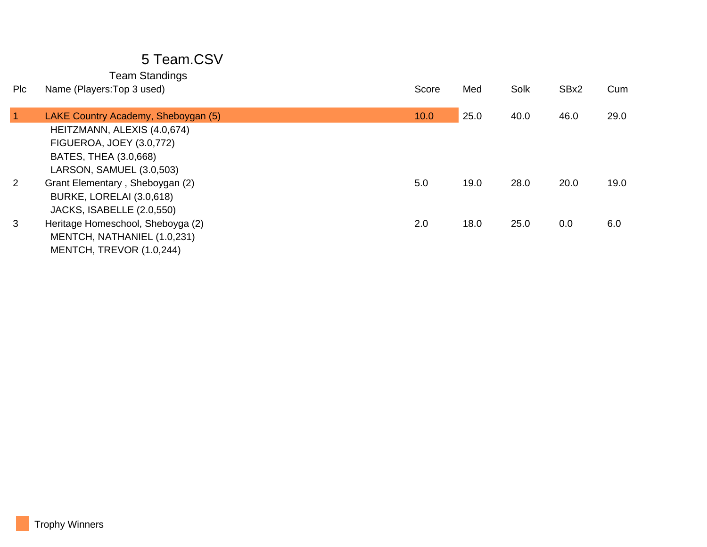| <b>PIC</b>   | Name (Players: Top 3 used)          | Score | Med  | Solk | SBx2 | Cum  |
|--------------|-------------------------------------|-------|------|------|------|------|
|              |                                     |       |      |      |      |      |
| $\mathbf{1}$ | LAKE Country Academy, Sheboygan (5) | 10.0  | 25.0 | 40.0 | 46.0 | 29.0 |
|              | HEITZMANN, ALEXIS (4.0,674)         |       |      |      |      |      |
|              | <b>FIGUEROA, JOEY (3.0,772)</b>     |       |      |      |      |      |
|              | BATES, THEA (3.0,668)               |       |      |      |      |      |
|              | LARSON, SAMUEL (3.0,503)            |       |      |      |      |      |
| 2            | Grant Elementary, Sheboygan (2)     | 5.0   | 19.0 | 28.0 | 20.0 | 19.0 |
|              | BURKE, LORELAI (3.0,618)            |       |      |      |      |      |
|              | JACKS, ISABELLE (2.0,550)           |       |      |      |      |      |
| 3            | Heritage Homeschool, Sheboyga (2)   | 2.0   | 18.0 | 25.0 | 0.0  | 6.0  |
|              | MENTCH, NATHANIEL (1.0,231)         |       |      |      |      |      |
|              | MENTCH, TREVOR (1.0,244)            |       |      |      |      |      |
|              |                                     |       |      |      |      |      |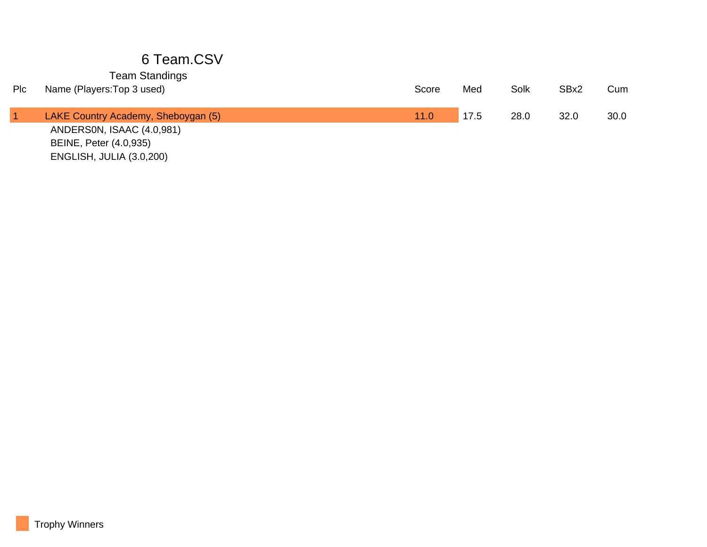| Plc | Name (Players: Top 3 used)          | Score | Med  | Solk | SBx2 | Cum  |
|-----|-------------------------------------|-------|------|------|------|------|
|     |                                     |       |      |      |      |      |
|     | LAKE Country Academy, Sheboygan (5) | 11.0  | 17.5 | 28.0 | 32.0 | 30.0 |
|     | ANDERSON, ISAAC (4.0,981)           |       |      |      |      |      |
|     | BEINE, Peter (4.0,935)              |       |      |      |      |      |
|     | <b>ENGLISH, JULIA (3.0,200)</b>     |       |      |      |      |      |